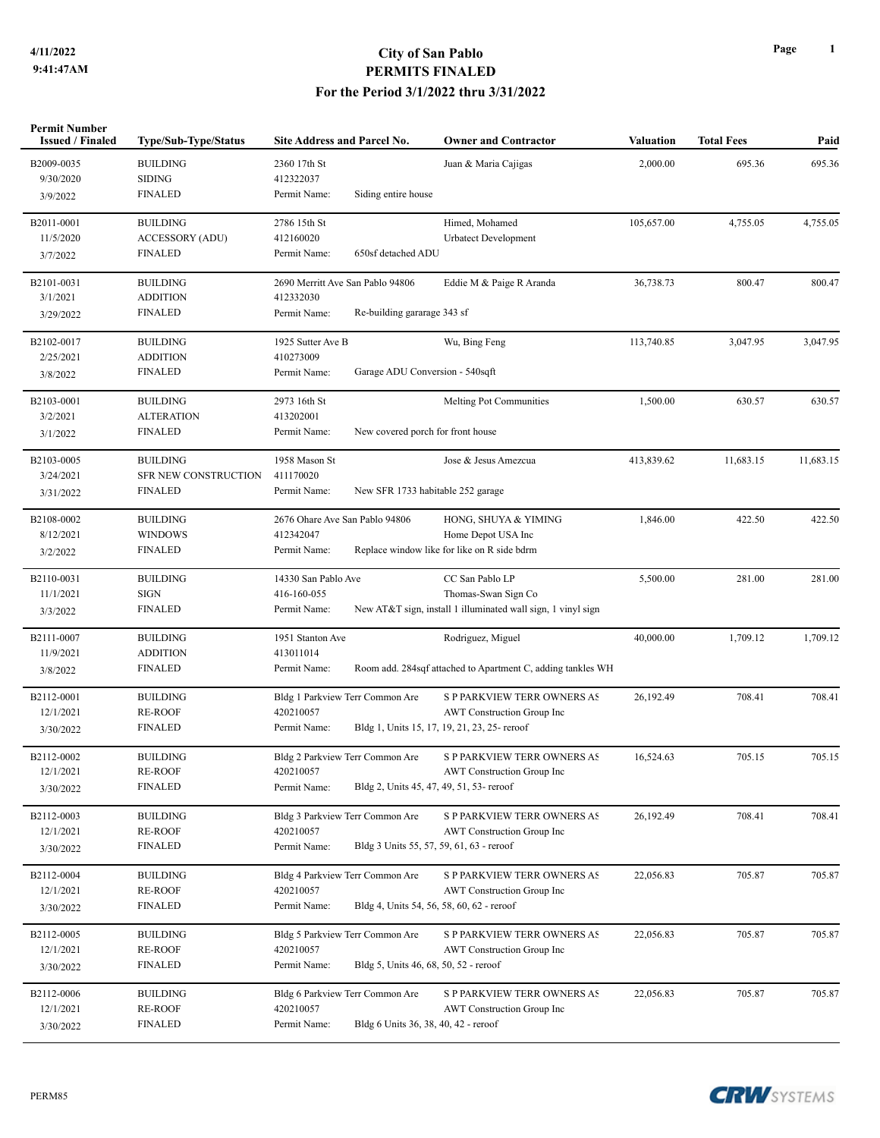| <b>Permit Number</b><br><b>Issued / Finaled</b> | Type/Sub-Type/Status   | <b>Site Address and Parcel No.</b>                    | <b>Owner and Contractor</b>                                  | <b>Valuation</b> | <b>Total Fees</b> | Paid      |
|-------------------------------------------------|------------------------|-------------------------------------------------------|--------------------------------------------------------------|------------------|-------------------|-----------|
| B2009-0035                                      | <b>BUILDING</b>        | 2360 17th St                                          | Juan & Maria Cajigas                                         | 2,000.00         | 695.36            | 695.36    |
| 9/30/2020                                       | <b>SIDING</b>          | 412322037                                             |                                                              |                  |                   |           |
| 3/9/2022                                        | <b>FINALED</b>         | Permit Name:<br>Siding entire house                   |                                                              |                  |                   |           |
| B2011-0001                                      | <b>BUILDING</b>        | 2786 15th St                                          | Himed, Mohamed                                               | 105,657.00       | 4,755.05          | 4,755.05  |
| 11/5/2020                                       | <b>ACCESSORY (ADU)</b> | 412160020                                             | <b>Urbatect Development</b>                                  |                  |                   |           |
| 3/7/2022                                        | <b>FINALED</b>         | Permit Name:<br>650sf detached ADU                    |                                                              |                  |                   |           |
| B2101-0031                                      | <b>BUILDING</b>        | 2690 Merritt Ave San Pablo 94806                      | Eddie M & Paige R Aranda                                     | 36,738.73        | 800.47            | 800.47    |
| 3/1/2021                                        | <b>ADDITION</b>        | 412332030                                             |                                                              |                  |                   |           |
| 3/29/2022                                       | <b>FINALED</b>         | Permit Name:<br>Re-building gararage 343 sf           |                                                              |                  |                   |           |
| B2102-0017                                      | <b>BUILDING</b>        | 1925 Sutter Ave B                                     | Wu, Bing Feng                                                | 113,740.85       | 3,047.95          | 3,047.95  |
| 2/25/2021                                       | <b>ADDITION</b>        | 410273009                                             |                                                              |                  |                   |           |
| 3/8/2022                                        | <b>FINALED</b>         | Garage ADU Conversion - 540sqft<br>Permit Name:       |                                                              |                  |                   |           |
| B2103-0001                                      | <b>BUILDING</b>        | 2973 16th St                                          | <b>Melting Pot Communities</b>                               | 1,500.00         | 630.57            | 630.57    |
| 3/2/2021                                        | <b>ALTERATION</b>      | 413202001                                             |                                                              |                  |                   |           |
| 3/1/2022                                        | <b>FINALED</b>         | Permit Name:<br>New covered porch for front house     |                                                              |                  |                   |           |
| B2103-0005                                      | <b>BUILDING</b>        | 1958 Mason St                                         | Jose & Jesus Amezcua                                         | 413,839.62       | 11,683.15         | 11,683.15 |
| 3/24/2021                                       | SFR NEW CONSTRUCTION   | 411170020                                             |                                                              |                  |                   |           |
| 3/31/2022                                       | <b>FINALED</b>         | Permit Name:                                          | New SFR 1733 habitable 252 garage                            |                  |                   |           |
| B2108-0002                                      | <b>BUILDING</b>        | 2676 Ohare Ave San Pablo 94806                        | HONG, SHUYA & YIMING                                         | 1,846.00         | 422.50            | 422.50    |
| 8/12/2021                                       | <b>WINDOWS</b>         | 412342047                                             | Home Depot USA Inc                                           |                  |                   |           |
| 3/2/2022                                        | <b>FINALED</b>         | Permit Name:                                          | Replace window like for like on R side bdrm                  |                  |                   |           |
| B2110-0031                                      | <b>BUILDING</b>        | 14330 San Pablo Ave                                   | CC San Pablo LP                                              | 5,500.00         | 281.00            | 281.00    |
| 11/1/2021                                       | SIGN                   | 416-160-055                                           | Thomas-Swan Sign Co                                          |                  |                   |           |
| 3/3/2022                                        | <b>FINALED</b>         | Permit Name:                                          | New AT&T sign, install 1 illuminated wall sign, 1 vinyl sign |                  |                   |           |
| B2111-0007                                      | <b>BUILDING</b>        | 1951 Stanton Ave                                      | Rodriguez, Miguel                                            | 40,000.00        | 1,709.12          | 1,709.12  |
| 11/9/2021                                       | <b>ADDITION</b>        | 413011014                                             |                                                              |                  |                   |           |
| 3/8/2022                                        | <b>FINALED</b>         | Permit Name:                                          | Room add. 284sqf attached to Apartment C, adding tankles WH  |                  |                   |           |
| B2112-0001                                      | <b>BUILDING</b>        | Bldg 1 Parkview Terr Common Are                       | <b>S P PARKVIEW TERR OWNERS AS</b>                           | 26,192.49        | 708.41            | 708.41    |
| 12/1/2021                                       | <b>RE-ROOF</b>         | 420210057                                             | <b>AWT</b> Construction Group Inc                            |                  |                   |           |
| 3/30/2022                                       | <b>FINALED</b>         | Permit Name:                                          | Bldg 1, Units 15, 17, 19, 21, 23, 25- reroof                 |                  |                   |           |
| B2112-0002                                      | <b>BUILDING</b>        | Bldg 2 Parkview Terr Common Are                       | <b>S P PARKVIEW TERR OWNERS AS</b>                           | 16,524.63        | 705.15            | 705.15    |
| 12/1/2021                                       | <b>RE-ROOF</b>         | 420210057                                             | AWT Construction Group Inc                                   |                  |                   |           |
| 3/30/2022                                       | <b>FINALED</b>         | Permit Name:                                          | Bldg 2, Units 45, 47, 49, 51, 53- reroof                     |                  |                   |           |
| B2112-0003                                      | <b>BUILDING</b>        | Bldg 3 Parkview Terr Common Are                       | S P PARKVIEW TERR OWNERS AS                                  | 26,192.49        | 708.41            | 708.41    |
| 12/1/2021                                       | <b>RE-ROOF</b>         | 420210057                                             | <b>AWT</b> Construction Group Inc                            |                  |                   |           |
| 3/30/2022                                       | <b>FINALED</b>         | Permit Name:                                          | Bldg 3 Units 55, 57, 59, 61, 63 - reroof                     |                  |                   |           |
| B2112-0004                                      | <b>BUILDING</b>        | Bldg 4 Parkview Terr Common Are                       | S P PARKVIEW TERR OWNERS AS                                  | 22,056.83        | 705.87            | 705.87    |
| 12/1/2021                                       | <b>RE-ROOF</b>         | 420210057                                             | AWT Construction Group Inc                                   |                  |                   |           |
| 3/30/2022                                       | <b>FINALED</b>         | Permit Name:                                          | Bldg 4, Units 54, 56, 58, 60, 62 - reroof                    |                  |                   |           |
| B2112-0005                                      | <b>BUILDING</b>        | Bldg 5 Parkview Terr Common Are                       | S P PARKVIEW TERR OWNERS AS                                  | 22,056.83        | 705.87            | 705.87    |
| 12/1/2021                                       | <b>RE-ROOF</b>         | 420210057                                             | AWT Construction Group Inc                                   |                  |                   |           |
| 3/30/2022                                       | <b>FINALED</b>         | Permit Name:<br>Bldg 5, Units 46, 68, 50, 52 - reroof |                                                              |                  |                   |           |
| B2112-0006                                      | <b>BUILDING</b>        | Bldg 6 Parkview Terr Common Are                       | S P PARKVIEW TERR OWNERS AS                                  | 22,056.83        | 705.87            | 705.87    |
| 12/1/2021                                       | <b>RE-ROOF</b>         | 420210057                                             | AWT Construction Group Inc                                   |                  |                   |           |
| 3/30/2022                                       | FINALED                | Permit Name:<br>Bldg 6 Units 36, 38, 40, 42 - reroof  |                                                              |                  |                   |           |
|                                                 |                        |                                                       |                                                              |                  |                   |           |

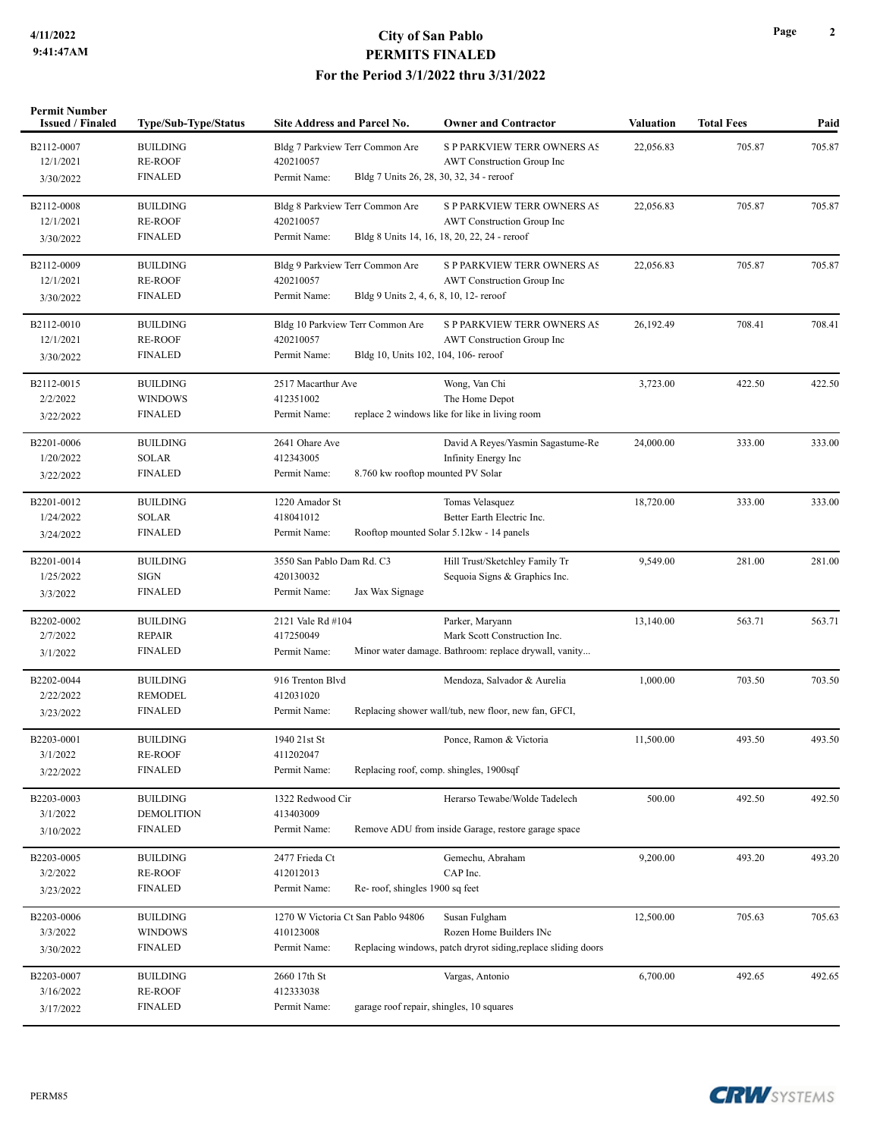| Permit Number<br><b>Issued / Finaled</b><br>Type/Sub-Type/Status |                   | Site Address and Parcel No.                             | <b>Owner and Contractor</b>                                   | <b>Valuation</b> | <b>Total Fees</b> | Paid   |
|------------------------------------------------------------------|-------------------|---------------------------------------------------------|---------------------------------------------------------------|------------------|-------------------|--------|
| B2112-0007                                                       | <b>BUILDING</b>   | Bldg 7 Parkview Terr Common Are                         | <b>S P PARKVIEW TERR OWNERS AS</b>                            | 22,056.83        | 705.87            | 705.87 |
| 12/1/2021                                                        | <b>RE-ROOF</b>    | 420210057                                               | AWT Construction Group Inc                                    |                  |                   |        |
| 3/30/2022                                                        | <b>FINALED</b>    | Permit Name:                                            | Bldg 7 Units 26, 28, 30, 32, 34 - reroof                      |                  |                   |        |
| B2112-0008                                                       | <b>BUILDING</b>   | Bldg 8 Parkview Terr Common Are                         | S P PARKVIEW TERR OWNERS AS                                   | 22,056.83        | 705.87            | 705.87 |
| 12/1/2021                                                        | <b>RE-ROOF</b>    | 420210057                                               | AWT Construction Group Inc                                    |                  |                   |        |
| 3/30/2022                                                        | <b>FINALED</b>    | Permit Name:                                            | Bldg 8 Units 14, 16, 18, 20, 22, 24 - reroof                  |                  |                   |        |
| B2112-0009                                                       | <b>BUILDING</b>   | Bldg 9 Parkview Terr Common Are                         | <b>S P PARKVIEW TERR OWNERS AS</b>                            | 22,056.83        | 705.87            | 705.87 |
| 12/1/2021                                                        | <b>RE-ROOF</b>    | 420210057                                               | AWT Construction Group Inc                                    |                  |                   |        |
| 3/30/2022                                                        | <b>FINALED</b>    | Permit Name:<br>Bldg 9 Units 2, 4, 6, 8, 10, 12- reroof |                                                               |                  |                   |        |
| B2112-0010                                                       | <b>BUILDING</b>   | Bldg 10 Parkview Terr Common Are                        | <b>S P PARKVIEW TERR OWNERS AS</b>                            | 26,192.49        | 708.41            | 708.41 |
| 12/1/2021                                                        | <b>RE-ROOF</b>    | 420210057                                               | AWT Construction Group Inc                                    |                  |                   |        |
| 3/30/2022                                                        | <b>FINALED</b>    | Permit Name:<br>Bldg 10, Units 102, 104, 106- reroof    |                                                               |                  |                   |        |
| B2112-0015                                                       | <b>BUILDING</b>   | 2517 Macarthur Ave                                      | Wong, Van Chi                                                 | 3,723.00         | 422.50            | 422.50 |
| 2/2/2022                                                         | <b>WINDOWS</b>    | 412351002                                               | The Home Depot                                                |                  |                   |        |
| 3/22/2022                                                        | <b>FINALED</b>    | Permit Name:                                            | replace 2 windows like for like in living room                |                  |                   |        |
| B2201-0006                                                       | <b>BUILDING</b>   | 2641 Ohare Ave                                          | David A Reyes/Yasmin Sagastume-Re                             | 24,000.00        | 333.00            | 333.00 |
| 1/20/2022                                                        | <b>SOLAR</b>      | 412343005                                               | Infinity Energy Inc                                           |                  |                   |        |
| 3/22/2022                                                        | <b>FINALED</b>    | Permit Name:<br>8.760 kw rooftop mounted PV Solar       |                                                               |                  |                   |        |
| B2201-0012                                                       | <b>BUILDING</b>   | 1220 Amador St                                          | Tomas Velasquez                                               | 18,720.00        | 333.00            | 333.00 |
| 1/24/2022                                                        | <b>SOLAR</b>      | 418041012                                               | Better Earth Electric Inc.                                    |                  |                   |        |
| 3/24/2022                                                        | <b>FINALED</b>    | Permit Name:                                            | Rooftop mounted Solar 5.12kw - 14 panels                      |                  |                   |        |
| B2201-0014                                                       | <b>BUILDING</b>   | 3550 San Pablo Dam Rd. C3                               | Hill Trust/Sketchley Family Tr                                | 9,549.00         | 281.00            | 281.00 |
| 1/25/2022                                                        | <b>SIGN</b>       | 420130032                                               | Sequoia Signs & Graphics Inc.                                 |                  |                   |        |
| 3/3/2022                                                         | <b>FINALED</b>    | Permit Name:<br>Jax Wax Signage                         |                                                               |                  |                   |        |
| B2202-0002                                                       | <b>BUILDING</b>   | 2121 Vale Rd #104                                       | Parker, Maryann                                               | 13,140.00        | 563.71            | 563.71 |
| 2/7/2022                                                         | <b>REPAIR</b>     | 417250049                                               | Mark Scott Construction Inc.                                  |                  |                   |        |
| 3/1/2022                                                         | <b>FINALED</b>    | Permit Name:                                            | Minor water damage. Bathroom: replace drywall, vanity         |                  |                   |        |
| B2202-0044                                                       | <b>BUILDING</b>   | 916 Trenton Blvd                                        | Mendoza, Salvador & Aurelia                                   | 1,000.00         | 703.50            | 703.50 |
| 2/22/2022                                                        | <b>REMODEL</b>    | 412031020                                               |                                                               |                  |                   |        |
| 3/23/2022                                                        | <b>FINALED</b>    | Permit Name:                                            | Replacing shower wall/tub, new floor, new fan, GFCI,          |                  |                   |        |
| B2203-0001                                                       | <b>BUILDING</b>   | 1940 21st St                                            | Ponce, Ramon & Victoria                                       | 11,500.00        | 493.50            | 493.50 |
| 3/1/2022                                                         | <b>RE-ROOF</b>    | 411202047                                               |                                                               |                  |                   |        |
| 3/22/2022                                                        | <b>FINALED</b>    | Permit Name:                                            | Replacing roof, comp. shingles, 1900sqf                       |                  |                   |        |
| B2203-0003                                                       | <b>BUILDING</b>   | 1322 Redwood Cir                                        | Herarso Tewabe/Wolde Tadelech                                 | 500.00           | 492.50            | 492.50 |
| 3/1/2022                                                         | <b>DEMOLITION</b> | 413403009                                               |                                                               |                  |                   |        |
| 3/10/2022                                                        | <b>FINALED</b>    | Permit Name:                                            | Remove ADU from inside Garage, restore garage space           |                  |                   |        |
| B2203-0005                                                       | <b>BUILDING</b>   | 2477 Frieda Ct                                          | Gemechu, Abraham                                              | 9,200.00         | 493.20            | 493.20 |
| 3/2/2022                                                         | <b>RE-ROOF</b>    | 412012013                                               | CAP Inc.                                                      |                  |                   |        |
| 3/23/2022                                                        | <b>FINALED</b>    | Permit Name:<br>Re-roof, shingles 1900 sq feet          |                                                               |                  |                   |        |
| B2203-0006                                                       | <b>BUILDING</b>   | 1270 W Victoria Ct San Pablo 94806                      | Susan Fulgham                                                 | 12,500.00        | 705.63            | 705.63 |
| 3/3/2022                                                         | <b>WINDOWS</b>    | 410123008                                               | Rozen Home Builders INc                                       |                  |                   |        |
| 3/30/2022                                                        | <b>FINALED</b>    | Permit Name:                                            | Replacing windows, patch dryrot siding, replace sliding doors |                  |                   |        |
| B2203-0007                                                       | <b>BUILDING</b>   | 2660 17th St                                            | Vargas, Antonio                                               | 6,700.00         | 492.65            | 492.65 |
| 3/16/2022                                                        | <b>RE-ROOF</b>    | 412333038                                               |                                                               |                  |                   |        |
| 3/17/2022                                                        | <b>FINALED</b>    | Permit Name:                                            | garage roof repair, shingles, 10 squares                      |                  |                   |        |
|                                                                  |                   |                                                         |                                                               |                  |                   |        |



**Page 2**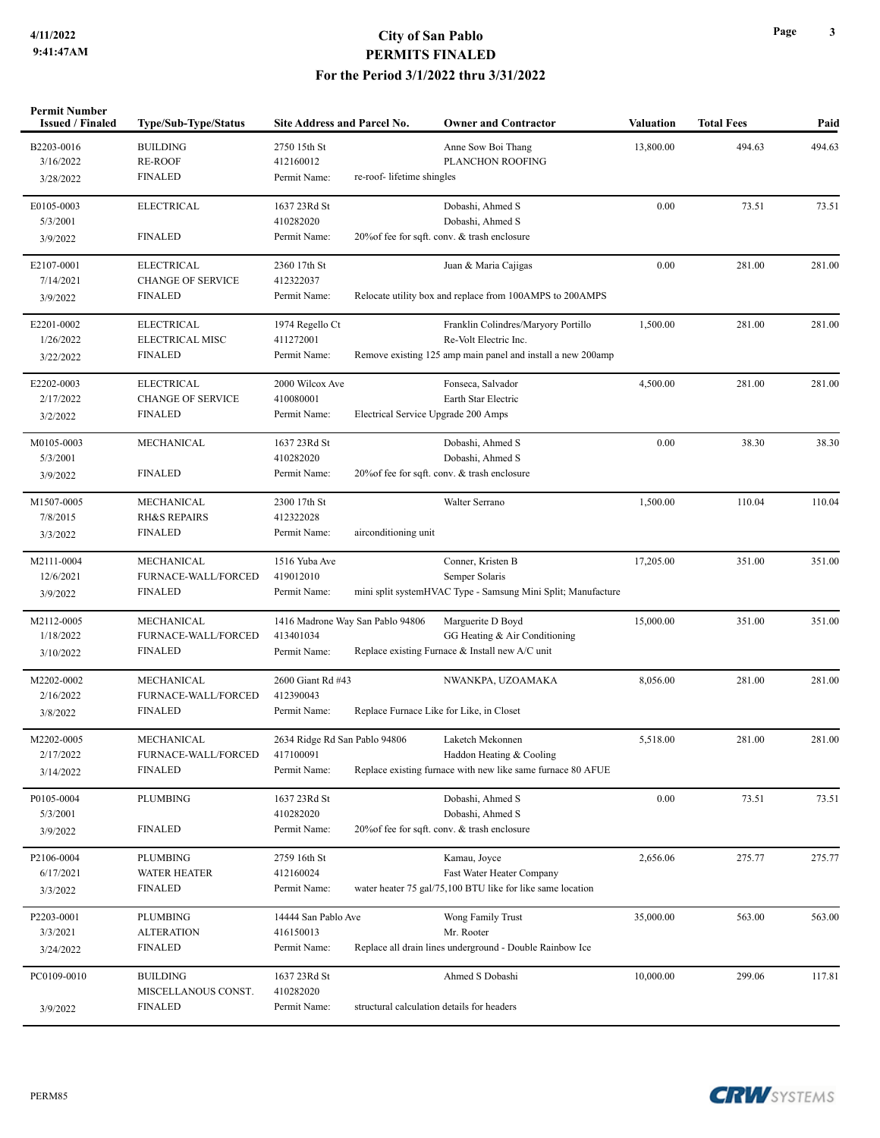| <b>Permit Number</b><br><b>Issued / Finaled</b> | Type/Sub-Type/Status              | <b>Site Address and Parcel No.</b> |                                  | <b>Owner and Contractor</b>                                  | <b>Valuation</b> | <b>Total Fees</b> | Paid   |
|-------------------------------------------------|-----------------------------------|------------------------------------|----------------------------------|--------------------------------------------------------------|------------------|-------------------|--------|
| B2203-0016                                      | <b>BUILDING</b>                   | 2750 15th St                       |                                  | Anne Sow Boi Thang                                           | 13,800.00        | 494.63            | 494.63 |
| 3/16/2022                                       | <b>RE-ROOF</b>                    | 412160012                          |                                  | PLANCHON ROOFING                                             |                  |                   |        |
| 3/28/2022                                       | <b>FINALED</b>                    | Permit Name:                       | re-roof- lifetime shingles       |                                                              |                  |                   |        |
| E0105-0003                                      | <b>ELECTRICAL</b>                 | 1637 23Rd St                       |                                  | Dobashi, Ahmed S                                             | 0.00             | 73.51             | 73.51  |
| 5/3/2001                                        |                                   | 410282020                          |                                  | Dobashi, Ahmed S                                             |                  |                   |        |
| 3/9/2022                                        | <b>FINALED</b>                    | Permit Name:                       |                                  | 20% of fee for sqft. conv. & trash enclosure                 |                  |                   |        |
| E2107-0001                                      | <b>ELECTRICAL</b>                 | 2360 17th St                       |                                  | Juan & Maria Cajigas                                         | 0.00             | 281.00            | 281.00 |
| 7/14/2021                                       | <b>CHANGE OF SERVICE</b>          | 412322037                          |                                  |                                                              |                  |                   |        |
| 3/9/2022                                        | <b>FINALED</b>                    | Permit Name:                       |                                  | Relocate utility box and replace from 100AMPS to 200AMPS     |                  |                   |        |
| E2201-0002                                      | <b>ELECTRICAL</b>                 | 1974 Regello Ct                    |                                  | Franklin Colindres/Maryory Portillo                          | 1,500.00         | 281.00            | 281.00 |
| 1/26/2022                                       | ELECTRICAL MISC<br><b>FINALED</b> | 411272001<br>Permit Name:          |                                  | Re-Volt Electric Inc.                                        |                  |                   |        |
| 3/22/2022                                       |                                   |                                    |                                  | Remove existing 125 amp main panel and install a new 200amp  |                  |                   |        |
| E2202-0003                                      | <b>ELECTRICAL</b>                 | 2000 Wilcox Ave                    |                                  | Fonseca, Salvador                                            | 4,500.00         | 281.00            | 281.00 |
| 2/17/2022                                       | <b>CHANGE OF SERVICE</b>          | 410080001                          |                                  | Earth Star Electric                                          |                  |                   |        |
| 3/2/2022                                        | <b>FINALED</b>                    | Permit Name:                       |                                  | Electrical Service Upgrade 200 Amps                          |                  |                   |        |
| M0105-0003                                      | <b>MECHANICAL</b>                 | 1637 23Rd St                       |                                  | Dobashi, Ahmed S                                             | 0.00             | 38.30             | 38.30  |
| 5/3/2001                                        |                                   | 410282020                          |                                  | Dobashi, Ahmed S                                             |                  |                   |        |
| 3/9/2022                                        | <b>FINALED</b>                    | Permit Name:                       |                                  | 20% of fee for sqft. conv. & trash enclosure                 |                  |                   |        |
| M1507-0005                                      | MECHANICAL                        | 2300 17th St                       |                                  | Walter Serrano                                               | 1,500.00         | 110.04            | 110.04 |
| 7/8/2015                                        | <b>RH&amp;S REPAIRS</b>           | 412322028                          |                                  |                                                              |                  |                   |        |
| 3/3/2022                                        | <b>FINALED</b>                    | Permit Name:                       | airconditioning unit             |                                                              |                  |                   |        |
| M2111-0004                                      | MECHANICAL                        | 1516 Yuba Ave                      |                                  | Conner, Kristen B                                            | 17,205.00        | 351.00            | 351.00 |
| 12/6/2021                                       | FURNACE-WALL/FORCED               | 419012010                          |                                  | Semper Solaris                                               |                  |                   |        |
| 3/9/2022                                        | <b>FINALED</b>                    | Permit Name:                       |                                  | mini split systemHVAC Type - Samsung Mini Split; Manufacture |                  |                   |        |
| M2112-0005                                      | MECHANICAL                        |                                    | 1416 Madrone Way San Pablo 94806 | Marguerite D Boyd                                            | 15,000.00        | 351.00            | 351.00 |
| 1/18/2022                                       | FURNACE-WALL/FORCED               | 413401034                          |                                  | GG Heating & Air Conditioning                                |                  |                   |        |
| 3/10/2022                                       | <b>FINALED</b>                    | Permit Name:                       |                                  | Replace existing Furnace & Install new A/C unit              |                  |                   |        |
| M2202-0002                                      | MECHANICAL                        | 2600 Giant Rd #43                  |                                  | NWANKPA, UZOAMAKA                                            | 8,056.00         | 281.00            | 281.00 |
| 2/16/2022                                       | FURNACE-WALL/FORCED               | 412390043                          |                                  |                                                              |                  |                   |        |
| 3/8/2022                                        | <b>FINALED</b>                    | Permit Name:                       |                                  | Replace Furnace Like for Like, in Closet                     |                  |                   |        |
| M2202-0005                                      | MECHANICAL                        | 2634 Ridge Rd San Pablo 94806      |                                  | Laketch Mekonnen                                             | 5,518.00         | 281.00            | 281.00 |
| 2/17/2022                                       | FURNACE-WALL/FORCED               | 417100091                          |                                  | Haddon Heating & Cooling                                     |                  |                   |        |
| 3/14/2022                                       | <b>FINALED</b>                    | Permit Name:                       |                                  | Replace existing furnace with new like same furnace 80 AFUE  |                  |                   |        |
| P0105-0004                                      | PLUMBING                          | 1637 23Rd St                       |                                  | Dobashi, Ahmed S                                             | 0.00             | 73.51             | 73.51  |
| 5/3/2001                                        |                                   | 410282020                          |                                  | Dobashi, Ahmed S                                             |                  |                   |        |
| 3/9/2022                                        | <b>FINALED</b>                    | Permit Name:                       |                                  | 20% of fee for sqft. conv. & trash enclosure                 |                  |                   |        |
| P2106-0004                                      | PLUMBING                          | 2759 16th St                       |                                  | Kamau, Joyce                                                 | 2,656.06         | 275.77            | 275.77 |
| 6/17/2021                                       | <b>WATER HEATER</b>               | 412160024                          |                                  | Fast Water Heater Company                                    |                  |                   |        |
| 3/3/2022                                        | <b>FINALED</b>                    | Permit Name:                       |                                  | water heater 75 gal/75,100 BTU like for like same location   |                  |                   |        |
| P2203-0001                                      | <b>PLUMBING</b>                   | 14444 San Pablo Ave                |                                  | Wong Family Trust                                            | 35,000.00        | 563.00            | 563.00 |
| 3/3/2021                                        | <b>ALTERATION</b>                 | 416150013                          |                                  | Mr. Rooter                                                   |                  |                   |        |
| 3/24/2022                                       | <b>FINALED</b>                    | Permit Name:                       |                                  | Replace all drain lines underground - Double Rainbow Ice     |                  |                   |        |
| PC0109-0010                                     | <b>BUILDING</b>                   | 1637 23Rd St                       |                                  | Ahmed S Dobashi                                              | 10,000.00        | 299.06            | 117.81 |
|                                                 | MISCELLANOUS CONST.               | 410282020                          |                                  |                                                              |                  |                   |        |
| 3/9/2022                                        | <b>FINALED</b>                    | Permit Name:                       |                                  | structural calculation details for headers                   |                  |                   |        |